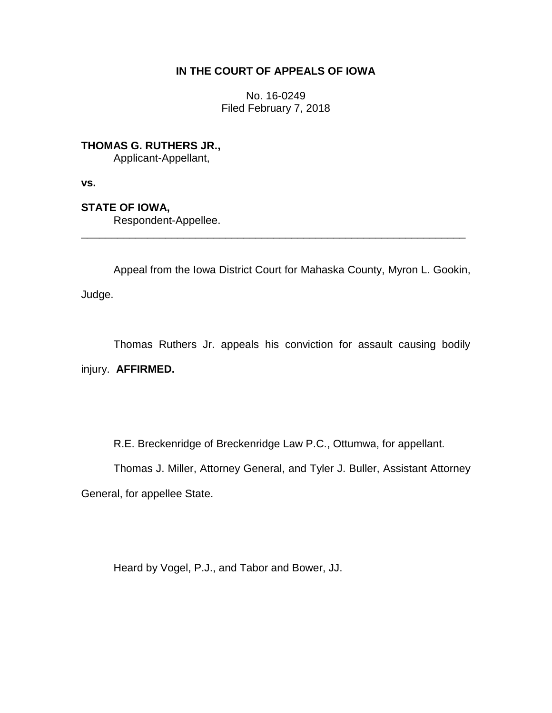# **IN THE COURT OF APPEALS OF IOWA**

No. 16-0249 Filed February 7, 2018

**THOMAS G. RUTHERS JR.,** Applicant-Appellant,

**vs.**

**STATE OF IOWA,**

Respondent-Appellee.

Appeal from the Iowa District Court for Mahaska County, Myron L. Gookin,

\_\_\_\_\_\_\_\_\_\_\_\_\_\_\_\_\_\_\_\_\_\_\_\_\_\_\_\_\_\_\_\_\_\_\_\_\_\_\_\_\_\_\_\_\_\_\_\_\_\_\_\_\_\_\_\_\_\_\_\_\_\_\_\_

Judge.

Thomas Ruthers Jr. appeals his conviction for assault causing bodily injury. **AFFIRMED.**

R.E. Breckenridge of Breckenridge Law P.C., Ottumwa, for appellant.

Thomas J. Miller, Attorney General, and Tyler J. Buller, Assistant Attorney General, for appellee State.

Heard by Vogel, P.J., and Tabor and Bower, JJ.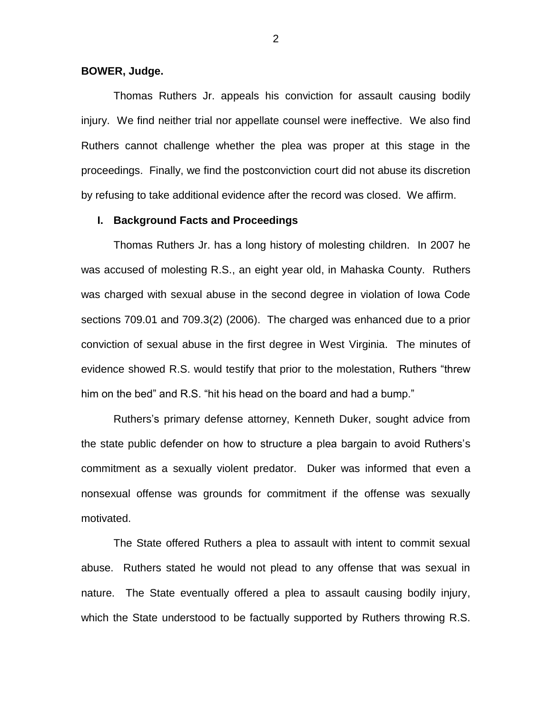## **BOWER, Judge.**

Thomas Ruthers Jr. appeals his conviction for assault causing bodily injury. We find neither trial nor appellate counsel were ineffective. We also find Ruthers cannot challenge whether the plea was proper at this stage in the proceedings. Finally, we find the postconviction court did not abuse its discretion by refusing to take additional evidence after the record was closed. We affirm.

## **I. Background Facts and Proceedings**

Thomas Ruthers Jr. has a long history of molesting children. In 2007 he was accused of molesting R.S., an eight year old, in Mahaska County. Ruthers was charged with sexual abuse in the second degree in violation of Iowa Code sections 709.01 and 709.3(2) (2006). The charged was enhanced due to a prior conviction of sexual abuse in the first degree in West Virginia. The minutes of evidence showed R.S. would testify that prior to the molestation, Ruthers "threw him on the bed" and R.S. "hit his head on the board and had a bump."

Ruthers's primary defense attorney, Kenneth Duker, sought advice from the state public defender on how to structure a plea bargain to avoid Ruthers's commitment as a sexually violent predator. Duker was informed that even a nonsexual offense was grounds for commitment if the offense was sexually motivated.

The State offered Ruthers a plea to assault with intent to commit sexual abuse. Ruthers stated he would not plead to any offense that was sexual in nature. The State eventually offered a plea to assault causing bodily injury, which the State understood to be factually supported by Ruthers throwing R.S.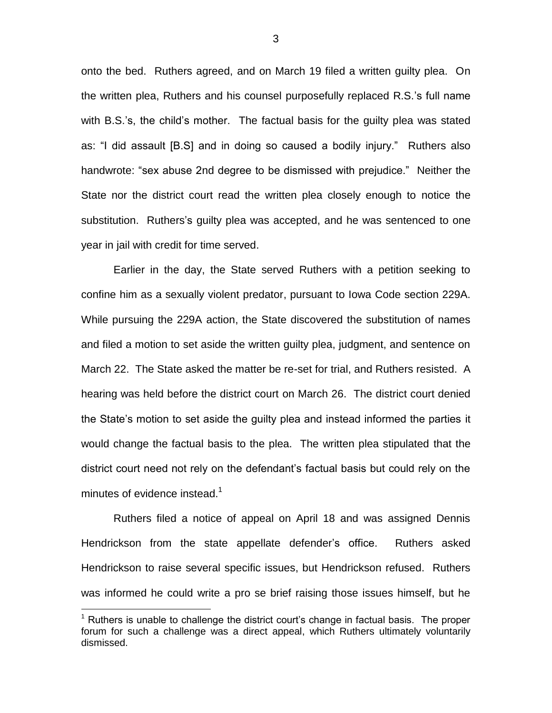onto the bed. Ruthers agreed, and on March 19 filed a written guilty plea. On the written plea, Ruthers and his counsel purposefully replaced R.S.'s full name with B.S.'s, the child's mother. The factual basis for the guilty plea was stated as: "I did assault [B.S] and in doing so caused a bodily injury." Ruthers also handwrote: "sex abuse 2nd degree to be dismissed with prejudice." Neither the State nor the district court read the written plea closely enough to notice the substitution. Ruthers's guilty plea was accepted, and he was sentenced to one year in jail with credit for time served.

Earlier in the day, the State served Ruthers with a petition seeking to confine him as a sexually violent predator, pursuant to Iowa Code section 229A. While pursuing the 229A action, the State discovered the substitution of names and filed a motion to set aside the written guilty plea, judgment, and sentence on March 22. The State asked the matter be re-set for trial, and Ruthers resisted. A hearing was held before the district court on March 26. The district court denied the State's motion to set aside the guilty plea and instead informed the parties it would change the factual basis to the plea. The written plea stipulated that the district court need not rely on the defendant's factual basis but could rely on the minutes of evidence instead.<sup>1</sup>

Ruthers filed a notice of appeal on April 18 and was assigned Dennis Hendrickson from the state appellate defender's office. Ruthers asked Hendrickson to raise several specific issues, but Hendrickson refused. Ruthers was informed he could write a pro se brief raising those issues himself, but he

 $\overline{a}$ 

 $1$  Ruthers is unable to challenge the district court's change in factual basis. The proper forum for such a challenge was a direct appeal, which Ruthers ultimately voluntarily dismissed.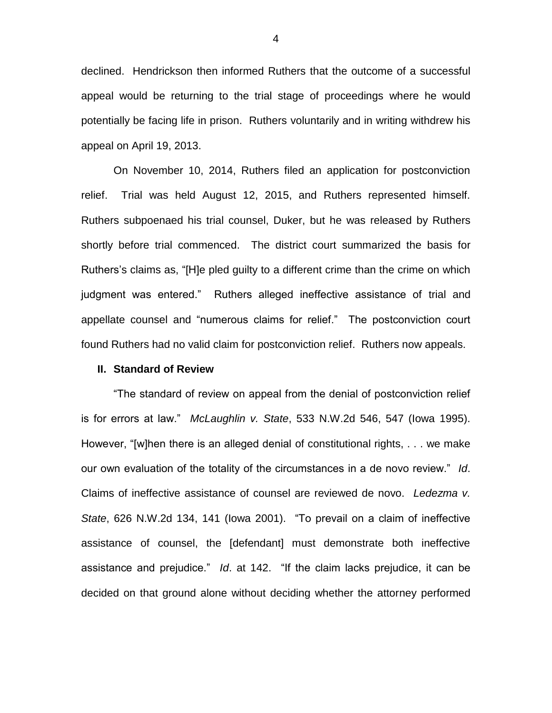declined. Hendrickson then informed Ruthers that the outcome of a successful appeal would be returning to the trial stage of proceedings where he would potentially be facing life in prison. Ruthers voluntarily and in writing withdrew his appeal on April 19, 2013.

On November 10, 2014, Ruthers filed an application for postconviction relief. Trial was held August 12, 2015, and Ruthers represented himself. Ruthers subpoenaed his trial counsel, Duker, but he was released by Ruthers shortly before trial commenced. The district court summarized the basis for Ruthers's claims as, "[H]e pled guilty to a different crime than the crime on which judgment was entered." Ruthers alleged ineffective assistance of trial and appellate counsel and "numerous claims for relief." The postconviction court found Ruthers had no valid claim for postconviction relief. Ruthers now appeals.

#### **II. Standard of Review**

"The standard of review on appeal from the denial of postconviction relief is for errors at law." *McLaughlin v. State*, 533 N.W.2d 546, 547 (Iowa 1995). However, "[w]hen there is an alleged denial of constitutional rights, . . . we make our own evaluation of the totality of the circumstances in a de novo review." *Id*. Claims of ineffective assistance of counsel are reviewed de novo. *Ledezma v. State*, 626 N.W.2d 134, 141 (Iowa 2001). "To prevail on a claim of ineffective assistance of counsel, the [defendant] must demonstrate both ineffective assistance and prejudice." *Id*. at 142. "If the claim lacks prejudice, it can be decided on that ground alone without deciding whether the attorney performed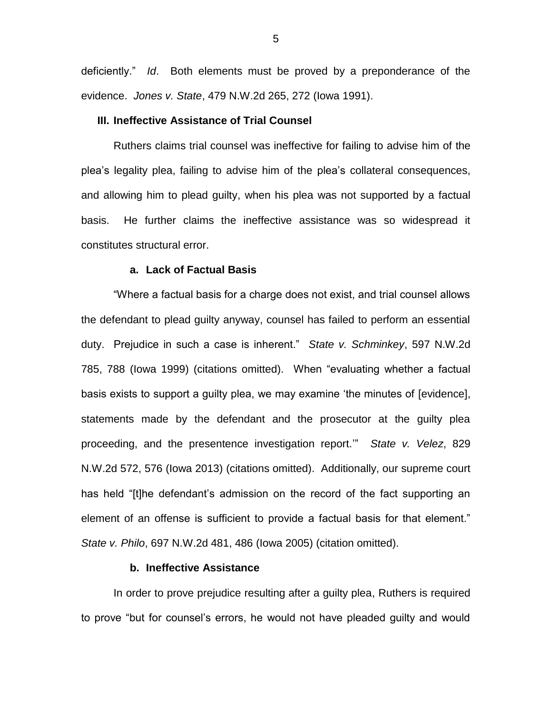deficiently." *Id*. Both elements must be proved by a preponderance of the evidence. *Jones v. State*, 479 N.W.2d 265, 272 (Iowa 1991).

## **III. Ineffective Assistance of Trial Counsel**

Ruthers claims trial counsel was ineffective for failing to advise him of the plea's legality plea, failing to advise him of the plea's collateral consequences, and allowing him to plead guilty, when his plea was not supported by a factual basis. He further claims the ineffective assistance was so widespread it constitutes structural error.

## **a. Lack of Factual Basis**

"Where a factual basis for a charge does not exist, and trial counsel allows the defendant to plead guilty anyway, counsel has failed to perform an essential duty. Prejudice in such a case is inherent." *State v. Schminkey*, 597 N.W.2d 785, 788 (Iowa 1999) (citations omitted). When "evaluating whether a factual basis exists to support a guilty plea, we may examine 'the minutes of [evidence], statements made by the defendant and the prosecutor at the guilty plea proceeding, and the presentence investigation report.'" *State v. Velez*, 829 N.W.2d 572, 576 (Iowa 2013) (citations omitted). Additionally, our supreme court has held "[t]he defendant's admission on the record of the fact supporting an element of an offense is sufficient to provide a factual basis for that element." *State v. Philo*, 697 N.W.2d 481, 486 (Iowa 2005) (citation omitted).

## **b. Ineffective Assistance**

In order to prove prejudice resulting after a guilty plea, Ruthers is required to prove "but for counsel's errors, he would not have pleaded guilty and would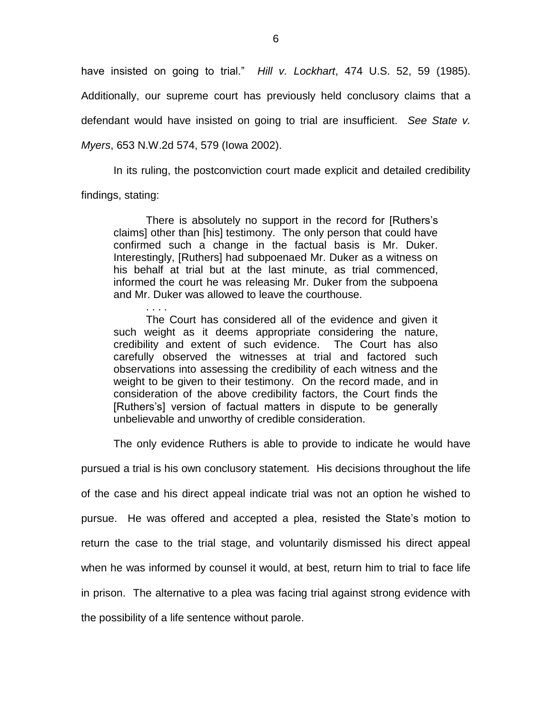have insisted on going to trial." *Hill v. Lockhart*, 474 U.S. 52, 59 (1985). Additionally, our supreme court has previously held conclusory claims that a defendant would have insisted on going to trial are insufficient. *See State v. Myers*, 653 N.W.2d 574, 579 (Iowa 2002).

In its ruling, the postconviction court made explicit and detailed credibility findings, stating:

There is absolutely no support in the record for [Ruthers's claims] other than [his] testimony. The only person that could have confirmed such a change in the factual basis is Mr. Duker. Interestingly, [Ruthers] had subpoenaed Mr. Duker as a witness on his behalf at trial but at the last minute, as trial commenced, informed the court he was releasing Mr. Duker from the subpoena and Mr. Duker was allowed to leave the courthouse.

The Court has considered all of the evidence and given it such weight as it deems appropriate considering the nature, credibility and extent of such evidence. The Court has also carefully observed the witnesses at trial and factored such observations into assessing the credibility of each witness and the weight to be given to their testimony. On the record made, and in consideration of the above credibility factors, the Court finds the [Ruthers's] version of factual matters in dispute to be generally unbelievable and unworthy of credible consideration.

The only evidence Ruthers is able to provide to indicate he would have

pursued a trial is his own conclusory statement. His decisions throughout the life of the case and his direct appeal indicate trial was not an option he wished to pursue. He was offered and accepted a plea, resisted the State's motion to return the case to the trial stage, and voluntarily dismissed his direct appeal when he was informed by counsel it would, at best, return him to trial to face life in prison. The alternative to a plea was facing trial against strong evidence with the possibility of a life sentence without parole.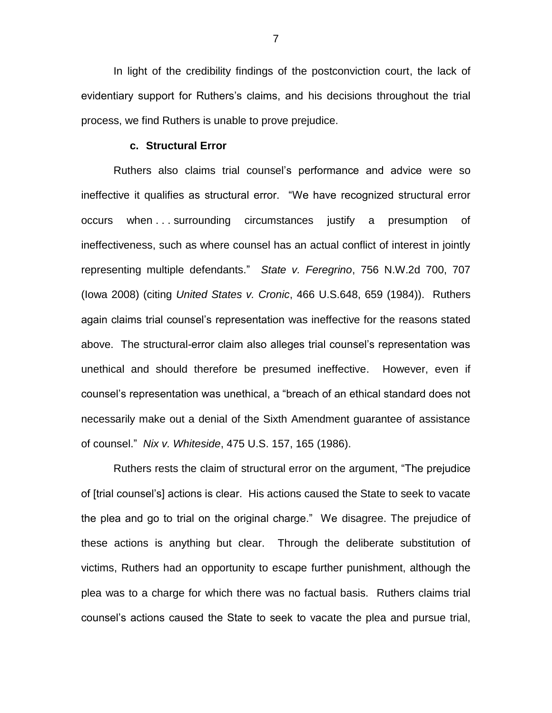In light of the credibility findings of the postconviction court, the lack of evidentiary support for Ruthers's claims, and his decisions throughout the trial process, we find Ruthers is unable to prove prejudice.

#### **c. Structural Error**

Ruthers also claims trial counsel's performance and advice were so ineffective it qualifies as structural error. "We have recognized structural error occurs when . . . surrounding circumstances justify a presumption of ineffectiveness, such as where counsel has an actual conflict of interest in jointly representing multiple defendants." *State v. Feregrino*, 756 N.W.2d 700, 707 (Iowa 2008) (citing *United States v. Cronic*, 466 U.S.648, 659 (1984)). Ruthers again claims trial counsel's representation was ineffective for the reasons stated above. The structural-error claim also alleges trial counsel's representation was unethical and should therefore be presumed ineffective. However, even if counsel's representation was unethical, a "breach of an ethical standard does not necessarily make out a denial of the Sixth Amendment guarantee of assistance of counsel." *Nix v. Whiteside*, 475 U.S. 157, 165 (1986).

Ruthers rests the claim of structural error on the argument, "The prejudice of [trial counsel's] actions is clear. His actions caused the State to seek to vacate the plea and go to trial on the original charge." We disagree. The prejudice of these actions is anything but clear. Through the deliberate substitution of victims, Ruthers had an opportunity to escape further punishment, although the plea was to a charge for which there was no factual basis. Ruthers claims trial counsel's actions caused the State to seek to vacate the plea and pursue trial,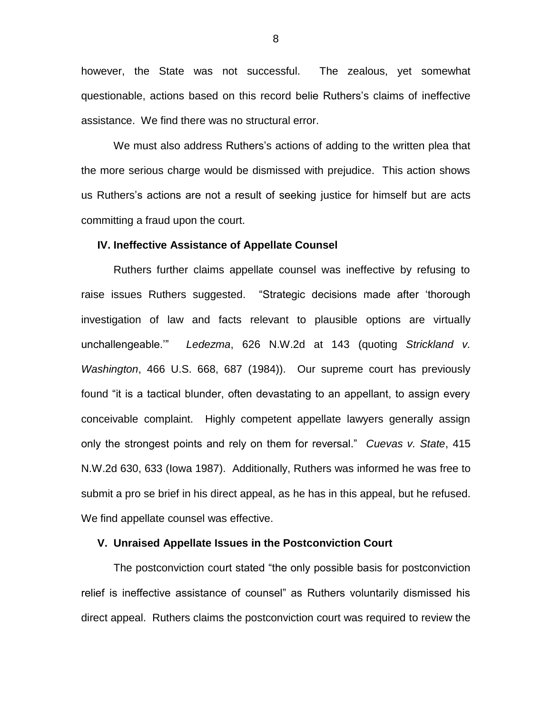however, the State was not successful. The zealous, yet somewhat questionable, actions based on this record belie Ruthers's claims of ineffective assistance. We find there was no structural error.

We must also address Ruthers's actions of adding to the written plea that the more serious charge would be dismissed with prejudice. This action shows us Ruthers's actions are not a result of seeking justice for himself but are acts committing a fraud upon the court.

#### **IV. Ineffective Assistance of Appellate Counsel**

Ruthers further claims appellate counsel was ineffective by refusing to raise issues Ruthers suggested. "Strategic decisions made after 'thorough investigation of law and facts relevant to plausible options are virtually unchallengeable.'" *Ledezma*, 626 N.W.2d at 143 (quoting *Strickland v. Washington*, 466 U.S. 668, 687 (1984)). Our supreme court has previously found "it is a tactical blunder, often devastating to an appellant, to assign every conceivable complaint. Highly competent appellate lawyers generally assign only the strongest points and rely on them for reversal." *Cuevas v. State*, 415 N.W.2d 630, 633 (Iowa 1987). Additionally, Ruthers was informed he was free to submit a pro se brief in his direct appeal, as he has in this appeal, but he refused. We find appellate counsel was effective.

## **V. Unraised Appellate Issues in the Postconviction Court**

The postconviction court stated "the only possible basis for postconviction relief is ineffective assistance of counsel" as Ruthers voluntarily dismissed his direct appeal. Ruthers claims the postconviction court was required to review the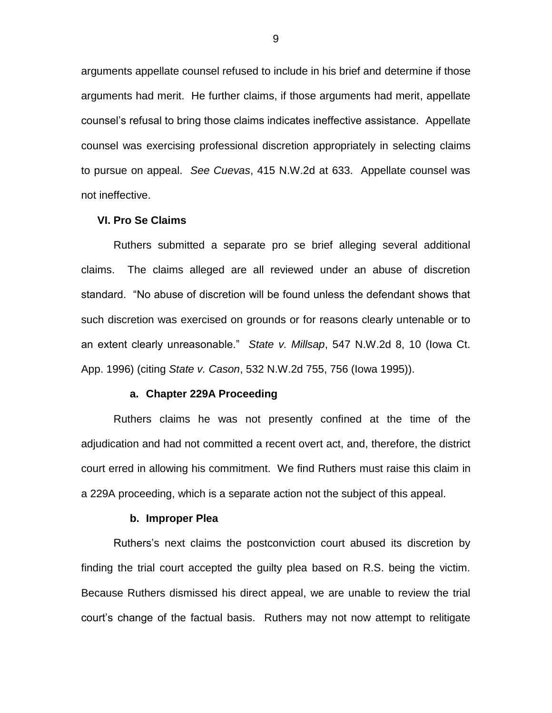arguments appellate counsel refused to include in his brief and determine if those arguments had merit. He further claims, if those arguments had merit, appellate counsel's refusal to bring those claims indicates ineffective assistance. Appellate counsel was exercising professional discretion appropriately in selecting claims to pursue on appeal. *See Cuevas*, 415 N.W.2d at 633. Appellate counsel was not ineffective.

#### **VI. Pro Se Claims**

Ruthers submitted a separate pro se brief alleging several additional claims. The claims alleged are all reviewed under an abuse of discretion standard. "No abuse of discretion will be found unless the defendant shows that such discretion was exercised on grounds or for reasons clearly untenable or to an extent clearly unreasonable." *State v. Millsap*, 547 N.W.2d 8, 10 (Iowa Ct. App. 1996) (citing *State v. Cason*, 532 N.W.2d 755, 756 (Iowa 1995)).

## **a. Chapter 229A Proceeding**

Ruthers claims he was not presently confined at the time of the adjudication and had not committed a recent overt act, and, therefore, the district court erred in allowing his commitment. We find Ruthers must raise this claim in a 229A proceeding, which is a separate action not the subject of this appeal.

#### **b. Improper Plea**

Ruthers's next claims the postconviction court abused its discretion by finding the trial court accepted the guilty plea based on R.S. being the victim. Because Ruthers dismissed his direct appeal, we are unable to review the trial court's change of the factual basis. Ruthers may not now attempt to relitigate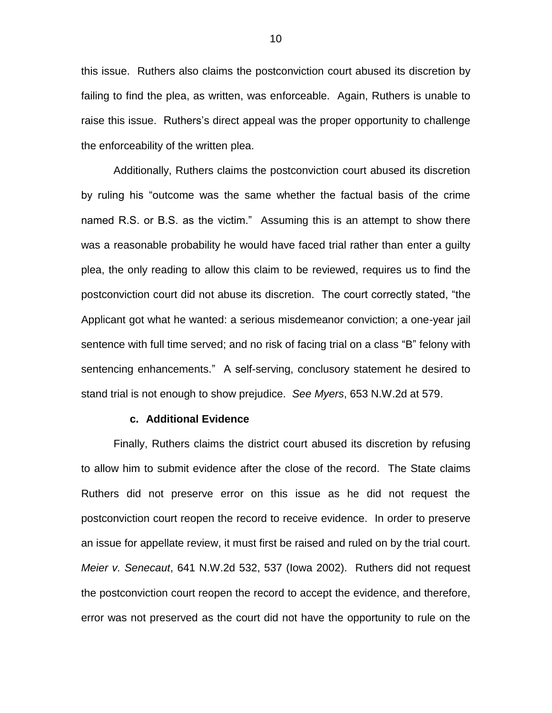this issue. Ruthers also claims the postconviction court abused its discretion by failing to find the plea, as written, was enforceable. Again, Ruthers is unable to raise this issue. Ruthers's direct appeal was the proper opportunity to challenge the enforceability of the written plea.

Additionally, Ruthers claims the postconviction court abused its discretion by ruling his "outcome was the same whether the factual basis of the crime named R.S. or B.S. as the victim." Assuming this is an attempt to show there was a reasonable probability he would have faced trial rather than enter a guilty plea, the only reading to allow this claim to be reviewed, requires us to find the postconviction court did not abuse its discretion. The court correctly stated, "the Applicant got what he wanted: a serious misdemeanor conviction; a one-year jail sentence with full time served; and no risk of facing trial on a class "B" felony with sentencing enhancements." A self-serving, conclusory statement he desired to stand trial is not enough to show prejudice. *See Myers*, 653 N.W.2d at 579.

## **c. Additional Evidence**

Finally, Ruthers claims the district court abused its discretion by refusing to allow him to submit evidence after the close of the record. The State claims Ruthers did not preserve error on this issue as he did not request the postconviction court reopen the record to receive evidence. In order to preserve an issue for appellate review, it must first be raised and ruled on by the trial court. *Meier v. Senecaut*, 641 N.W.2d 532, 537 (Iowa 2002). Ruthers did not request the postconviction court reopen the record to accept the evidence, and therefore, error was not preserved as the court did not have the opportunity to rule on the